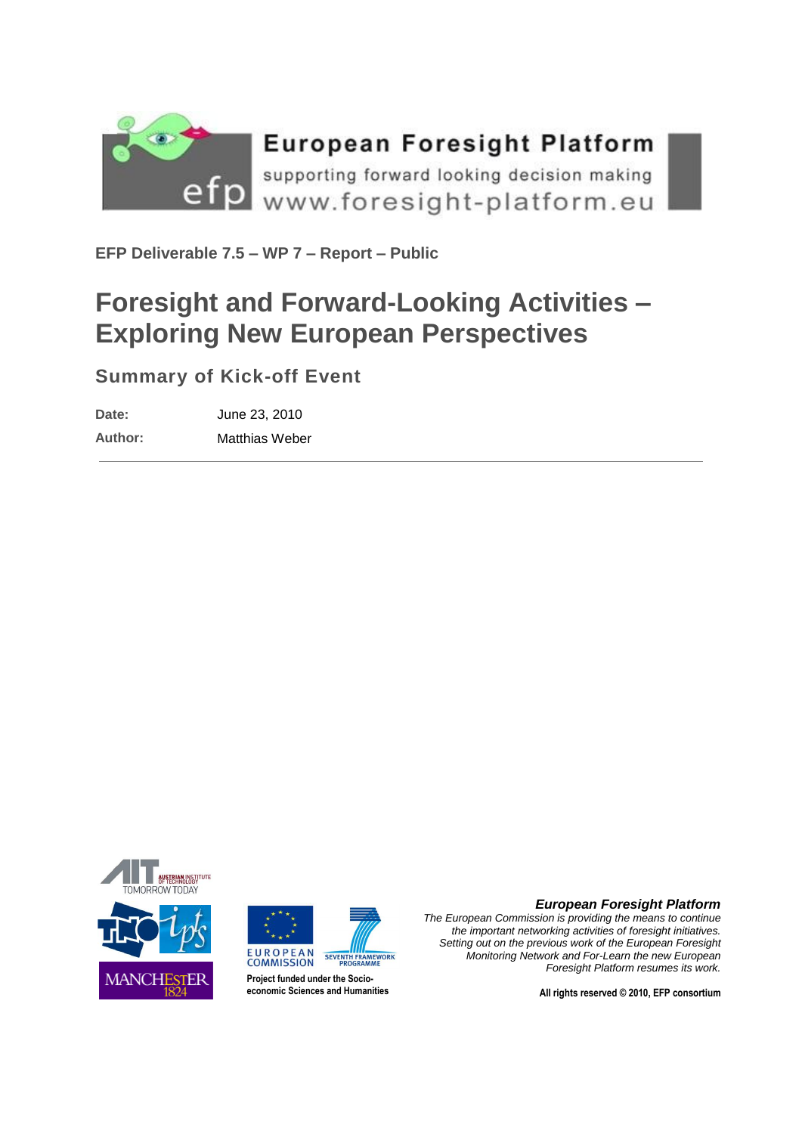

**EFP Deliverable 7.5 – WP 7 – Report – Public**

## **Foresight and Forward-Looking Activities – Exploring New European Perspectives**

## **Summary of Kick-off Event**

**Date:** June 23, 2010

**Author:** Matthias Weber





**Project funded under the Socioeconomic Sciences and Humanities**



*The European Commission is providing the means to continue the important networking activities of foresight initiatives. Setting out on the previous work of the European Foresight Monitoring Network and For-Learn the new European Foresight Platform resumes its work.*

**All rights reserved © 2010, EFP consortium**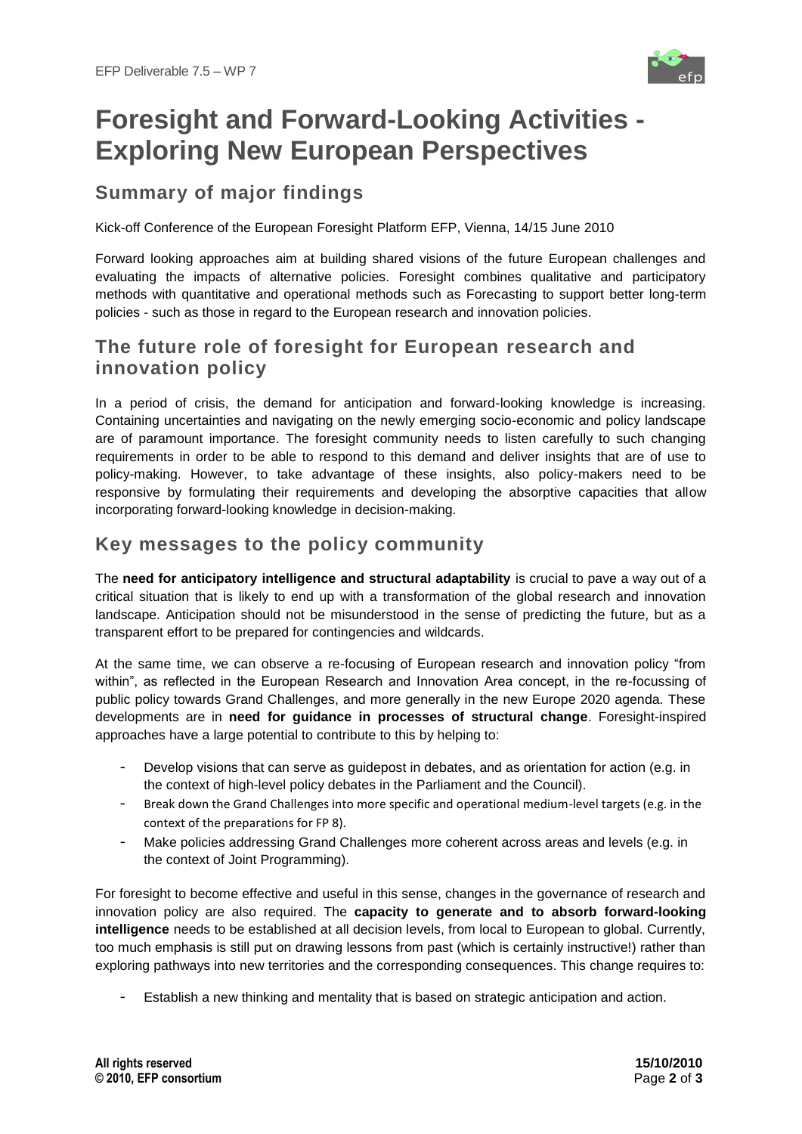

# **Foresight and Forward-Looking Activities - Exploring New European Perspectives**

## **Summary of major findings**

Kick-off Conference of the European Foresight Platform EFP, Vienna, 14/15 June 2010

Forward looking approaches aim at building shared visions of the future European challenges and evaluating the impacts of alternative policies. Foresight combines qualitative and participatory methods with quantitative and operational methods such as Forecasting to support better long-term policies - such as those in regard to the European research and innovation policies.

#### **The future role of foresight for European research and innovation policy**

In a period of crisis, the demand for anticipation and forward-looking knowledge is increasing. Containing uncertainties and navigating on the newly emerging socio-economic and policy landscape are of paramount importance. The foresight community needs to listen carefully to such changing requirements in order to be able to respond to this demand and deliver insights that are of use to policy-making. However, to take advantage of these insights, also policy-makers need to be responsive by formulating their requirements and developing the absorptive capacities that allow incorporating forward-looking knowledge in decision-making.

#### **Key messages to the policy community**

The **need for anticipatory intelligence and structural adaptability** is crucial to pave a way out of a critical situation that is likely to end up with a transformation of the global research and innovation landscape. Anticipation should not be misunderstood in the sense of predicting the future, but as a transparent effort to be prepared for contingencies and wildcards.

At the same time, we can observe a re-focusing of European research and innovation policy "from within", as reflected in the European Research and Innovation Area concept, in the re-focussing of public policy towards Grand Challenges, and more generally in the new Europe 2020 agenda. These developments are in **need for guidance in processes of structural change**. Foresight-inspired approaches have a large potential to contribute to this by helping to:

- Develop visions that can serve as quidepost in debates, and as orientation for action (e.g. in the context of high-level policy debates in the Parliament and the Council).
- Break down the Grand Challenges into more specific and operational medium-level targets (e.g. in the context of the preparations for FP 8).
- Make policies addressing Grand Challenges more coherent across areas and levels (e.g. in the context of Joint Programming).

For foresight to become effective and useful in this sense, changes in the governance of research and innovation policy are also required. The **capacity to generate and to absorb forward-looking intelligence** needs to be established at all decision levels, from local to European to global. Currently, too much emphasis is still put on drawing lessons from past (which is certainly instructive!) rather than exploring pathways into new territories and the corresponding consequences. This change requires to:

Establish a new thinking and mentality that is based on strategic anticipation and action.